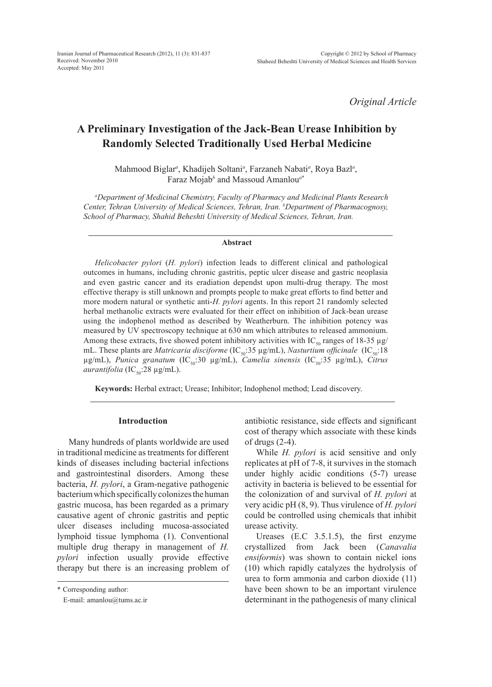*Original Article*

# **A Preliminary Investigation of the Jack-Bean Urease Inhibition by Randomly Selected Traditionally Used Herbal Medicine**

Mahmood Biglar*<sup>a</sup>* , Khadijeh Soltani*<sup>a</sup>* , Farzaneh Nabati*<sup>a</sup>* , Roya Bazl*<sup>a</sup>* , Faraz Mojab*<sup>b</sup>* and Massoud Amanlou*<sup>a</sup>*\*

*a Department of Medicinal Chemistry, Faculty of Pharmacy and Medicinal Plants Research Center, Tehran University of Medical Sciences, Tehran, Iran. b Department of Pharmacognosy, School of Pharmacy, Shahid Beheshti University of Medical Sciences, Tehran, Iran.*

#### **Abstract**

*Helicobacter pylori* (*H. pylori*) infection leads to different clinical and pathological outcomes in humans, including chronic gastritis, peptic ulcer disease and gastric neoplasia and even gastric cancer and its eradiation dependst upon multi-drug therapy. The most effective therapy is still unknown and prompts people to make great efforts to find better and more modern natural or synthetic anti-*H. pylori* agents. In this report 21 randomly selected herbal methanolic extracts were evaluated for their effect on inhibition of Jack-bean urease using the indophenol method as described by Weatherburn. The inhibition potency was measured by UV spectroscopy technique at 630 nm which attributes to released ammonium. Among these extracts, five showed potent inhibitory activities with IC<sub>50</sub> ranges of 18-35 µg/ mL. These plants are *Matricaria disciforme* (IC<sub>50</sub>:35 µg/mL), *Nasturtium officinale* (IC<sub>50</sub>:18 µg/mL), *Punica granatum* (IC<sub>50</sub>:30 μg/mL), *Camelia sinensis* (IC<sub>50</sub>:35 μg/mL), *Citrus aurantifolia* (IC<sub>50</sub>:28 μg/mL).

**Keywords:** Herbal extract; Urease; Inhibitor; Indophenol method; Lead discovery.

### **Introduction**

Many hundreds of plants worldwide are used in traditional medicine as treatments for different kinds of diseases including bacterial infections and gastrointestinal disorders. Among these bacteria, *H. pylori*, a Gram-negative pathogenic bacterium which specifically colonizes the human gastric mucosa, has been regarded as a primary causative agent of chronic gastritis and peptic ulcer diseases including mucosa-associated lymphoid tissue lymphoma (1). Conventional multiple drug therapy in management of *H. pylori* infection usually provide effective therapy but there is an increasing problem of antibiotic resistance, side effects and significant cost of therapy which associate with these kinds of drugs (2-4).

While *H. pylori* is acid sensitive and only replicates at pH of 7-8, it survives in the stomach under highly acidic conditions (5-7) urease activity in bacteria is believed to be essential for the colonization of and survival of *H. pylori* at very acidic pH (8, 9). Thus virulence of *H. pylori* could be controlled using chemicals that inhibit urease activity.

Ureases (E.C 3.5.1.5), the first enzyme crystallized from Jack been (*Canavalia ensiformis*) was shown to contain nickel ions (10) which rapidly catalyzes the hydrolysis of urea to form ammonia and carbon dioxide (11) have been shown to be an important virulence determinant in the pathogenesis of many clinical

<sup>\*</sup> Corresponding author:

E-mail: amanlou@tums.ac.ir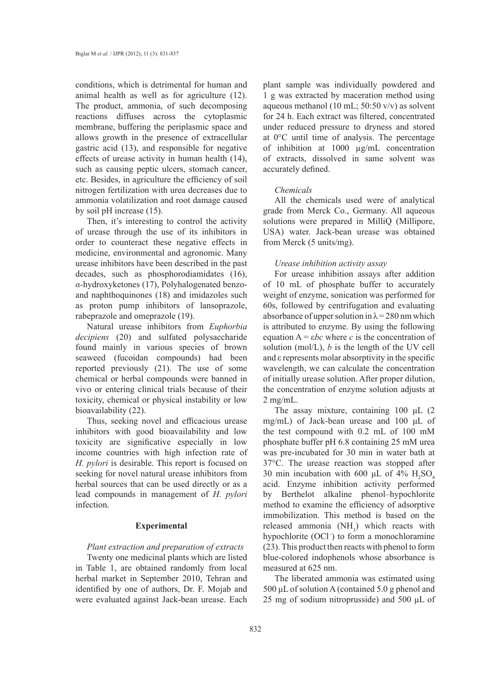conditions, which is detrimental for human and animal health as well as for agriculture (12). The product, ammonia, of such decomposing reactions diffuses across the cytoplasmic membrane, buffering the periplasmic space and allows growth in the presence of extracellular gastric acid (13), and responsible for negative effects of urease activity in human health (14), such as causing peptic ulcers, stomach cancer, etc. Besides, in agriculture the efficiency of soil nitrogen fertilization with urea decreases due to ammonia volatilization and root damage caused by soil pH increase (15).

Then, it's interesting to control the activity of urease through the use of its inhibitors in order to counteract these negative effects in medicine, environmental and agronomic. Many urease inhibitors have been described in the past decades, such as phosphorodiamidates (16), *α-*hydroxyketones (17), Polyhalogenated benzoand naphthoquinones (18) and imidazoles such as proton pump inhibitors of lansoprazole, rabeprazole and omeprazole (19).

Natural urease inhibitors from *Euphorbia decipiens* (20) and sulfated polysaccharide found mainly in various species of brown seaweed (fucoidan compounds) had been reported previously (21). The use of some chemical or herbal compounds were banned in vivo or entering clinical trials because of their toxicity, chemical or physical instability or low bioavailability (22).

Thus, seeking novel and efficacious urease inhibitors with good bioavailability and low toxicity are significative especially in low income countries with high infection rate of *H. pylori* is desirable. This report is focused on seeking for novel natural urease inhibitors from herbal sources that can be used directly or as a lead compounds in management of *H. pylori* infection.

#### **Experimental**

# *Plant extraction and preparation of extracts*

Twenty one medicinal plants which are listed in Table 1, are obtained randomly from local herbal market in September 2010, Tehran and identified by one of authors, Dr. F. Mojab and were evaluated against Jack-bean urease. Each plant sample was individually powdered and 1 g was extracted by maceration method using aqueous methanol (10 mL; 50:50 v/v) as solvent for 24 h. Each extract was filtered, concentrated under reduced pressure to dryness and stored at 0°C until time of analysis. The percentage of inhibition at 1000 µg/mL concentration of extracts, dissolved in same solvent was accurately defined.

#### *Chemicals*

All the chemicals used were of analytical grade from Merck Co., Germany. All aqueous solutions were prepared in MilliQ (Millipore, USA) water. Jack-bean urease was obtained from Merck (5 units/mg).

# *Urease inhibition activity assay*

For urease inhibition assays after addition of 10 mL of phosphate buffer to accurately weight of enzyme, sonication was performed for 60s, followed by centrifugation and evaluating absorbance of upper solution in  $\lambda$  = 280 nm which is attributed to enzyme. By using the following equation A = ε*bc* where *c* is the concentration of solution (mol/L), *b* is the length of the UV cell and ε represents molar absorptivity in the specific wavelength, we can calculate the concentration of initially urease solution. After proper dilution, the concentration of enzyme solution adjusts at 2 mg/mL.

The assay mixture, containing 100 μL (2 mg/mL) of Jack-bean urease and 100 μL of the test compound with 0.2 mL of 100 mM phosphate buffer pH 6.8 containing 25 mM urea was pre-incubated for 30 min in water bath at 37°C. The urease reaction was stopped after 30 min incubation with 600  $\mu$ L of 4%  $H_2SO_4$ acid. Enzyme inhibition activity performed by Berthelot alkaline phenol–hypochlorite method to examine the efficiency of adsorptive immobilization. This method is based on the released ammonia  $(NH_3)$  which reacts with hypochlorite (OCl− ) to form a monochloramine (23). This product then reacts with phenol to form blue-colored indophenols whose absorbance is measured at 625 nm.

The liberated ammonia was estimated using 500 μL of solution A (contained 5.0 g phenol and 25 mg of sodium nitroprusside) and 500 μL of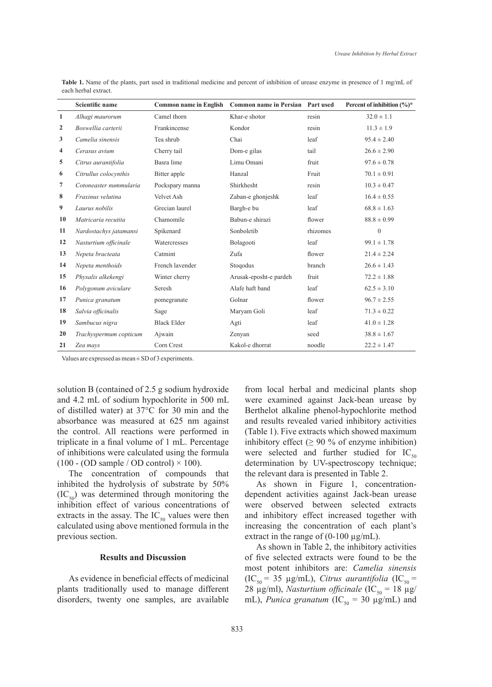|                | <b>Scientific name</b> | <b>Common name in English</b> | Common name in Persian Part used |          | Percent of inhibition $(\%)^*$ |
|----------------|------------------------|-------------------------------|----------------------------------|----------|--------------------------------|
| $\mathbf{1}$   | Alhagi maurorum        | Camel thorn                   | Khar-e shotor                    | resin    | $32.0 \pm 1.1$                 |
| $\overline{2}$ | Boswellia carterii     | Frankincense                  | Kondor                           | resin    | $11.3 \pm 1.9$                 |
| 3              | Camelia sinensis       | Tea shrub                     | Chai                             | leaf     | $95.4 \pm 2.40$                |
| 4              | Cerasus avium          | Cherry tail                   | Dom-e gilas                      | tail     | $26.6 \pm 2.90$                |
| 5              | Citrus aurantifolia    | Basra lime                    | Limu Omani                       | fruit    | $97.6 \pm 0.78$                |
| 6              | Citrullus colocynthis  | Bitter apple                  | Hanzal                           | Fruit    | $70.1 \pm 0.91$                |
| $\overline{7}$ | Cotoneaster nummularia | Pockspary manna               | Shirkhesht                       | resin    | $10.3 \pm 0.47$                |
| 8              | Fraxinus velutina      | Velvet Ash                    | Zaban-e ghonjeshk                | leaf     | $16.4 \pm 0.55$                |
| 9              | Laurus nobilis         | Grecian laurel                | Bargh-e bu                       | leaf     | $68.8 \pm 1.63$                |
| 10             | Matricaria recutita    | Chamomile                     | Babun-e shirazi                  | flower   | $88.8 \pm 0.99$                |
| 11             | Nardostachys jatamansi | Spikenard                     | Sonboletib                       | rhizomes | $\theta$                       |
| 12             | Nasturtium officinale  | Watercresses                  | Bolagooti                        | leaf     | $99.1 \pm 1.78$                |
| 13             | Nepeta bracteata       | Catmint                       | Zufa                             | flower   | $21.4 \pm 2.24$                |
| 14             | Nepeta menthoids       | French lavender               | Stoqodus                         | branch   | $26.6 \pm 1.43$                |
| 15             | Physalis alkekengi     | Winter cherry                 | Arusak-eposht-e pardeh           | fruit    | $72.2 \pm 1.88$                |
| 16             | Polygonum aviculare    | Seresh                        | Alafe haft band                  | leaf     | $62.5 \pm 3.10$                |
| 17             | Punica granatum        | pomegranate                   | Golnar                           | flower   | $96.7 \pm 2.55$                |
| 18             | Salvia officinalis     | Sage                          | Maryam Goli                      | leaf     | $71.3 \pm 0.22$                |
| 19             | Sambucus nigra         | <b>Black Elder</b>            | Agti                             | leaf     | $41.0 \pm 1.28$                |
| 20             | Trachyspermum copticum | Ajwain                        | Zenyan                           | seed     | $38.8 \pm 1.67$                |
| 21             | Zea mays               | Corn Crest                    | Kakol-e dhorrat                  | noodle   | $22.2 \pm 1.47$                |

Table 1. Name of the plants, part used in traditional medicine and percent of inhibition of urease enzyme in presence of 1 mg/mL of each herbal extract.

Values are expressed as mean ± SD of 3 experiments.

solution B (contained of 2.5 g sodium hydroxide and 4.2 mL of sodium hypochlorite in 500 mL of distilled water) at 37°C for 30 min and the absorbance was measured at 625 nm against the control. All reactions were performed in triplicate in a final volume of 1 mL. Percentage of inhibitions were calculated using the formula  $(100 - (OD sample / OD control) \times 100)$ .

The concentration of compounds that inhibited the hydrolysis of substrate by 50%  $(IC_{50})$  was determined through monitoring the inhibition effect of various concentrations of extracts in the assay. The  $IC_{50}$  values were then calculated using above mentioned formula in the previous section.

# **Results and Discussion**

As evidence in beneficial effects of medicinal plants traditionally used to manage different disorders, twenty one samples, are available from local herbal and medicinal plants shop were examined against Jack-bean urease by Berthelot alkaline phenol-hypochlorite method and results revealed varied inhibitory activities (Table 1). Five extracts which showed maximum inhibitory effect ( $\geq 90\%$  of enzyme inhibition) were selected and further studied for  $IC_{50}$ determination by UV-spectroscopy technique; the relevant dara is presented in Table 2.

As shown in Figure 1, concentrationdependent activities against Jack-bean urease were observed between selected extracts and inhibitory effect increased together with increasing the concentration of each plant's extract in the range of  $(0-100 \mu g/mL)$ .

As shown in Table 2, the inhibitory activities of five selected extracts were found to be the most potent inhibitors are: *Camelia sinensis*   $(IC_{50} = 35 \text{ µg/mL})$ , *Citrus aurantifolia*  $(IC_{50} =$ 28  $\mu$ g/ml), *Nasturtium officinale* (IC<sub>50</sub> = 18  $\mu$ g/ mL), *Punica granatum* ( $IC_{50} = 30 \mu g/mL$ ) and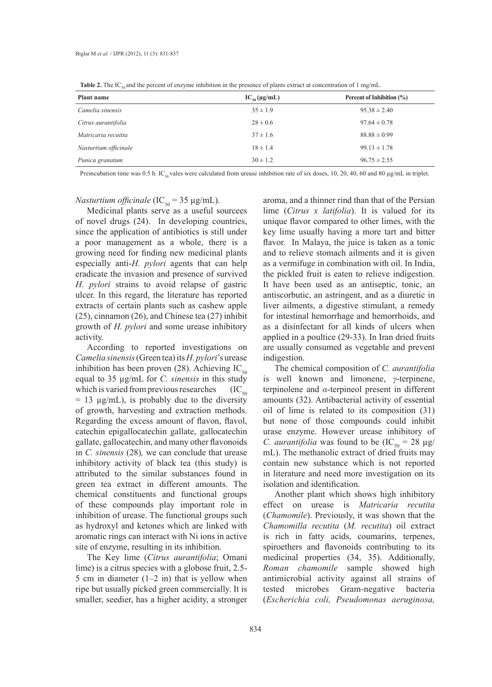**Table 2.** The IC<sub>50</sub> and the percent of enzyme inhibition in the presence of plants extract at concentration of 1 mg/mL.

| Plant name            | $IC_{50}(\mu g/mL)$ | Percent of Inhibition (%) |
|-----------------------|---------------------|---------------------------|
| Camelia sinensis      | $35 \pm 1.9$        | $95.38 \pm 2.40$          |
| Citrus aurantifolia   | $28 \pm 0.6$        | $97.64 \pm 0.78$          |
| Matricaria recutita   | $37 \pm 1.6$        | $88.88 \pm 0.99$          |
| Nasturtium officinale | $18 \pm 1.4$        | $99.13 \pm 1.78$          |
| Punica granatum       | $30 \pm 1.2$        | $96.75 \pm 2.55$          |

Preincubation time was 0.5 h. IC<sub>50</sub> vales were calculated from urease inhibition rate of six doses, 10, 20, 40, 60 and 80  $\mu$ g/mL in triplet.

*Nasturtium officinale* (IC<sub>50</sub> = 35  $\mu$ g/mL).

Medicinal plants serve as a useful sourcees of novel drugs (24). In developing countries, since the application of antibiotics is still under a poor management as a whole, there is a growing need for finding new medicinal plants especially anti-*H. pylori* agents that can help eradicate the invasion and presence of survived *H. pylori* strains to avoid relapse of gastric ulcer. In this regard, the literature has reported extracts of certain plants such as cashew apple (25), cinnamon (26), and Chinese tea (27) inhibit growth of *H. pylori* and some urease inhibitory activity.

According to reported investigations on *Camelia sinensis* (Green tea) its *H. pylori*'s urease inhibition has been proven (28). Achieving  $IC_{50}$ equal to 35 µg/mL for *C. sinensis* in this study which is varied from previous researches  $(IC_{50})$  $= 13 \mu g/mL$ , is probably due to the diversity of growth, harvesting and extraction methods. Regarding the excess amount of flavon, flavol, catechin epigallocatechin gallate, gallocatechin gallate, gallocatechin, and many other flavonoids in *C. sinensis* (28)*,* we can conclude that urease inhibitory activity of black tea (this study) is attributed to the similar substances found in green tea extract in different amounts. The chemical constituents and functional groups of these compounds play important role in inhibition of urease. The functional groups such as hydroxyl and ketones which are linked with aromatic rings can interact with Ni ions in active site of enzyme, resulting in its inhibition.

The Key lime (*Citrus aurantifolia*; Omani lime) is a citrus species with a globose fruit, 2.5- 5 cm in diameter (1–2 in) that is yellow when ripe but usually picked green commercially. It is smaller, seedier, has a higher acidity, a stronger aroma, and a thinner rind than that of the Persian lime (*Citrus x latifolia*). It is valued for its unique flavor compared to other limes, with the key lime usually having a more tart and bitter flavor. In Malaya, the juice is taken as a tonic and to relieve stomach ailments and it is given as a vermifuge in combination with oil. In India, the pickled fruit is eaten to relieve indigestion. It have been used as an antiseptic, tonic, an antiscorbutic, an astringent, and as a diuretic in liver ailments, a digestive stimulant, a remedy for intestinal hemorrhage and hemorrhoids, and as a disinfectant for all kinds of ulcers when applied in a poultice (29-33). In Iran dried fruits are usually consumed as vegetable and prevent indigestion.

The chemical composition of *C. aurantifolia* is well known and limonene, *γ*-terpinene, terpinolene and *α*-terpineol present in different amounts (32). Antibacterial activity of essential oil of lime is related to its composition (31) but none of those compounds could inhibit urase enzyme. However urease inhibitory of *C. aurantifolia* was found to be  $(IC_{50} = 28 \mu g)$ mL). The methanolic extract of dried fruits may contain new substance which is not reported in literature and need more investigation on its isolation and identification.

Another plant which shows high inhibitory effect on urease is *Matricaria recutita* (*Chamomile*). Previously, it was shown that the *Chamomilla recutita* (*M. recutita*) oil extract is rich in fatty acids, coumarins, terpenes, spiroethers and flavonoids contributing to its medicinal properties (34, 35). Additionally, *Roman chamomile* sample showed high antimicrobial activity against all strains of tested microbes Gram-negative bacteria (*Escherichia coli, Pseudomonas aeruginosa,*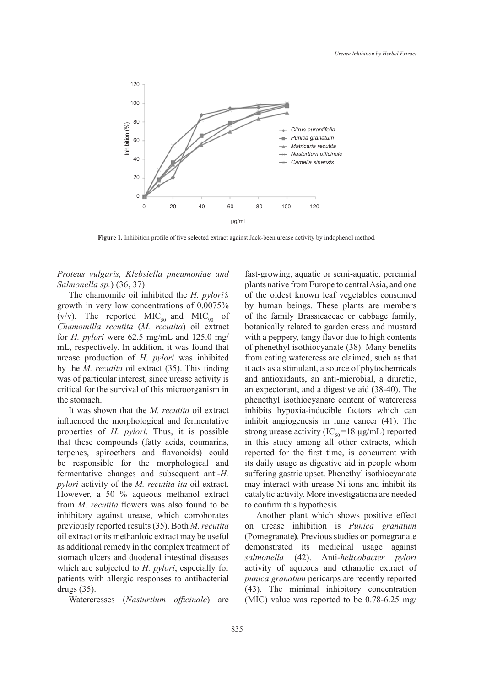

**Figure 1.** Inhibition profile of five selected extract against Jack-been urease activity by indophenol method.

*Proteus vulgaris, Klebsiella pneumoniae and Salmonella sp.*) (36, 37).

The chamomile oil inhibited the *H. pylori's* growth in very low concentrations of 0.0075% (v/v). The reported  $MIC<sub>50</sub>$  and  $MIC<sub>90</sub>$  of *Chamomilla recutita* (*M. recutita*) oil extract for *H. pylori* were 62.5 mg/mL and 125.0 mg/ mL, respectively. In addition, it was found that urease production of *H. pylori* was inhibited by the *M. recutita* oil extract (35). This finding was of particular interest, since urease activity is critical for the survival of this microorganism in the stomach.

It was shown that the *M. recutita* oil extract influenced the morphological and fermentative properties of *H. pylori*. Thus, it is possible that these compounds (fatty acids, coumarins, terpenes, spiroethers and flavonoids) could be responsible for the morphological and fermentative changes and subsequent anti-*H. pylori* activity of the *M. recutita ita* oil extract. However, a 50 % aqueous methanol extract from *M. recutita* flowers was also found to be inhibitory against urease, which corroborates previously reported results (35). Both *M. recutita*  oil extract or its methanloic extract may be useful as additional remedy in the complex treatment of stomach ulcers and duodenal intestinal diseases which are subjected to *H. pylori*, especially for patients with allergic responses to antibacterial drugs (35).

Watercresses (*Nasturtium officinale*) are

fast-growing, aquatic or semi-aquatic, perennial plants native from Europe to central Asia, and one of the oldest known leaf vegetables consumed by human beings. These plants are members of the family Brassicaceae or cabbage family, botanically related to garden cress and mustard with a peppery, tangy flavor due to high contents of phenethyl isothiocyanate (38). Many benefits from eating watercress are claimed, such as that it acts as a stimulant, a source of phytochemicals and antioxidants, an anti-microbial, a diuretic, an expectorant, and a digestive aid (38-40). The phenethyl isothiocyanate content of watercress inhibits hypoxia-inducible factors which can inhibit angiogenesis in lung cancer (41). The strong urease activity (IC<sub>50</sub>=18 µg/mL) reported in this study among all other extracts, which reported for the first time, is concurrent with its daily usage as digestive aid in people whom suffering gastric upset. Phenethyl isothiocyanate may interact with urease Ni ions and inhibit its catalytic activity. More investigationa are needed to confirm this hypothesis.

Another plant which shows positive effect on urease inhibition is *Punica granatum* (Pomegranate**)***.* Previous studies on pomegranate demonstrated its medicinal usage against *salmonella* (42). Anti-*helicobacter pylori*  activity of aqueous and ethanolic extract of *punica granatum* pericarps are recently reported (43). The minimal inhibitory concentration (MIC) value was reported to be 0.78-6.25 mg/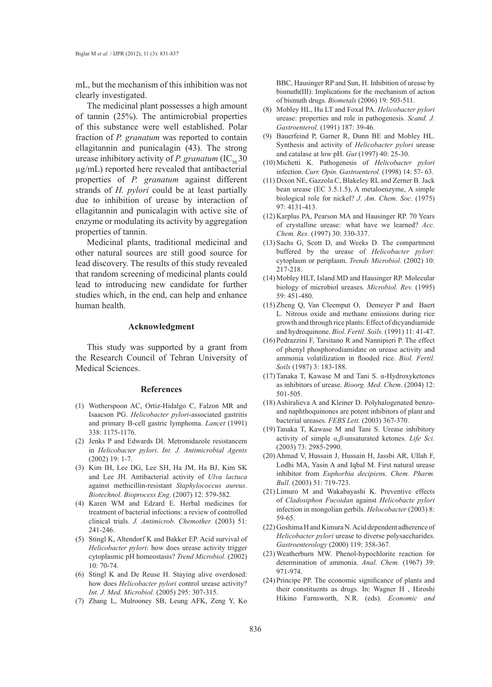mL, but the mechanism of this inhibition was not clearly investigated.

The medicinal plant possesses a high amount of tannin (25%). The antimicrobial properties of this substance were well established. Polar fraction of *P. granatum* was reported to contain ellagitannin and punicalagin (43). The strong urease inhibitory activity of *P. granatum* (IC<sub>50</sub> 30) µg/mL) reported here revealed that antibacterial properties of *P. granatum* against different strands of *H. pylori* could be at least partially due to inhibition of urease by interaction of ellagitannin and punicalagin with active site of enzyme or modulating its activity by aggregation properties of tannin.

Medicinal plants, traditional medicinal and other natural sources are still good source for lead discovery. The results of this study revealed that random screening of medicinal plants could lead to introducing new candidate for further studies which, in the end, can help and enhance human health.

# **Acknowledgment**

This study was supported by a grant from the Research Council of Tehran University of Medical Sciences.

#### **References**

- Wotherspoon AC, Ortiz-Hidalgo C, Falzon MR and (1) Isaacson PG. *Helicobacter pylori*-associated gastritis and primary B-cell gastric lymphoma. *Lancet* (1991) 338: 1175-1176.
- (2) Jenks P and Edwards DI. Metronidazole resistancem in *Helicobacter pylori*. *Int. J. Antimicrobial Agents* (2002) 19: 1-7.
- (3) Kim IH, Lee DG, Lee SH, Ha JM, Ha BJ, Kim SK and Lee JH. Antibacterial activity of *Ulva lactuca* against methicillin-resistant *Staphylococcus aureus*. *Biotechnol. Bioprocess Eng*. (2007) 12: 579-582.
- (4) Karen WM and Edzard E. Herbal medicines for treatment of bacterial infections: a review of controlled clinical trials. *J. Antimicrob. Chemother.* (2003) 51: 241-246.
- $(5)$  Stingl K, Altendorf K and Bakker EP. Acid survival of *Helicobacter pylori*: how does urease activity trigger cytoplasmic pH homeostasis? *Trend Microbiol.* (2002) 10: 70-74.
- (6) Stingl K and De Reuse H. Staying alive overdosed: how does *Helicobacter pylori* control urease activity? *Int. J. Med. Microbiol.* (2005) 295: 307-315.
- (7) Zhang L, Mulrooney SB, Leung AFK, Zeng Y, Ko

BBC, Hausinger RP and Sun, H. Inhibition of urease by bismuth(III): Implications for the mechanism of action of bismuth drugs. *Biometals* (2006) 19: 503-511.

- Mobley HL, Hu LT and Foxal PA. *Helicobacter pylori* urease: properties and role in pathogenesis. *Scand. J. Gastroenterol.* (1991) 187: 39-46. (8)
- Bauerfeind P, Garner R, Dunn BE and Mobley HL. Synthesis and activity of *Helicobacter pylori* urease and catalase at low pH. *Gut* (1997) 40: 25-30. (9)
- (10) Michetti K. Pathogenesis of *Helicobacter pylori* infection. *Curr. Opin. Gastroenterol.* (1998) 14: 57- 63.
- (11) Dixon NE, Gazzola C, Blakeley RL and Zerner B. Jack bean urease (EC 3.5.1.5), A metaloenzyme, A simple biological role for nickel? *J. Am. Chem*. *Soc*. (1975) 97: 4131-413.
- $(12)$  Karplus PA, Pearson MA and Hausinger RP. 70 Years of crystalline urease: what have we learned? *Acc. Chem. Res*. (1997) 30: 330-337.
- $(13)$  Sachs G, Scott D, and Weeks D. The compartment buffered by the urease of *Helicobacter pylori*: cytoplasm or periplasm. *Trends Microbiol.* (2002) 10: 217-218.
- (14) Mobley HLT, Island MD and Hausinger RP. Molecular biology of microbiol ureases. *Microbiol. Rev.* (1995) 59: 451-480.
- $(15)$  Zheng Q, Van Cleemput O, Demeyer P and Baert L. Nitrous oxide and methane emissions during rice growth and through rice plants: Effect of dicyandiamide and hydroquinone. *Biol. Fertil. Soils.* (1991) 11: 41-47.
- $(16)$  Pedrazzini F, Tarsitano R and Nannipieri P. The effect of phenyl phosphorodiamidate on urease activity and ammonia volatilization in flooded rice. *Biol. Fertil. Soils* (1987) 3: 183-188.
- (17) Tanaka T, Kawase M and Tani S.  $\alpha$ -Hydroxyketones as inhibitors of urease. *Bioorg. Med. Chem*. (2004) 12: 501-505.
- (18) Ashiralieva A and Kleiner D. Polyhalogenated benzoand naphthoquinones are potent inhibitors of plant and bacterial ureases. *FEBS Lett.* (2003) 367-370.
- $(19)$  Tanaka T, Kawase M and Tani S. Urease inhibitory activity of simple *α,β*-unsaturated ketones. *Life Sci.* (2003) 73: 2985-2990.
- (20) Ahmad V, Hussain J, Hussain H, Jassbi AR, Ullah F, Lodhi MA, Yasin A and Iqbal M. First natural urease inhibitor from *Euphorbia decipien*s. *Chem. Pharm. Bull*. (2003) 51: 719-723.
- (21) Limuro M and Wakabayashi K. Preventive effects of *Cladosiphon Fucoidan* against *Helicobacte pylori*  infection in mongolian gerbils. *Helocobacter* (2003) 8: 59-65.
- (22) Goshima H and Kimura N. Acid dependent adherence of *Helicobacter pylori* urease to diverse polysaccharides. *Gastroenterology* (2000) 119: 358-367.
- (23) Weatherburn MW. Phenol-hypochlorite reaction for determination of ammonia. *Anal. Chem.* (1967) 39: 971-974.
- $(24)$  Principe PP. The economic significance of plants and their constituents as drugs. In: Wagner H , Hiroshi Hikino Farnsworth, N.R. (eds). *Economic and*